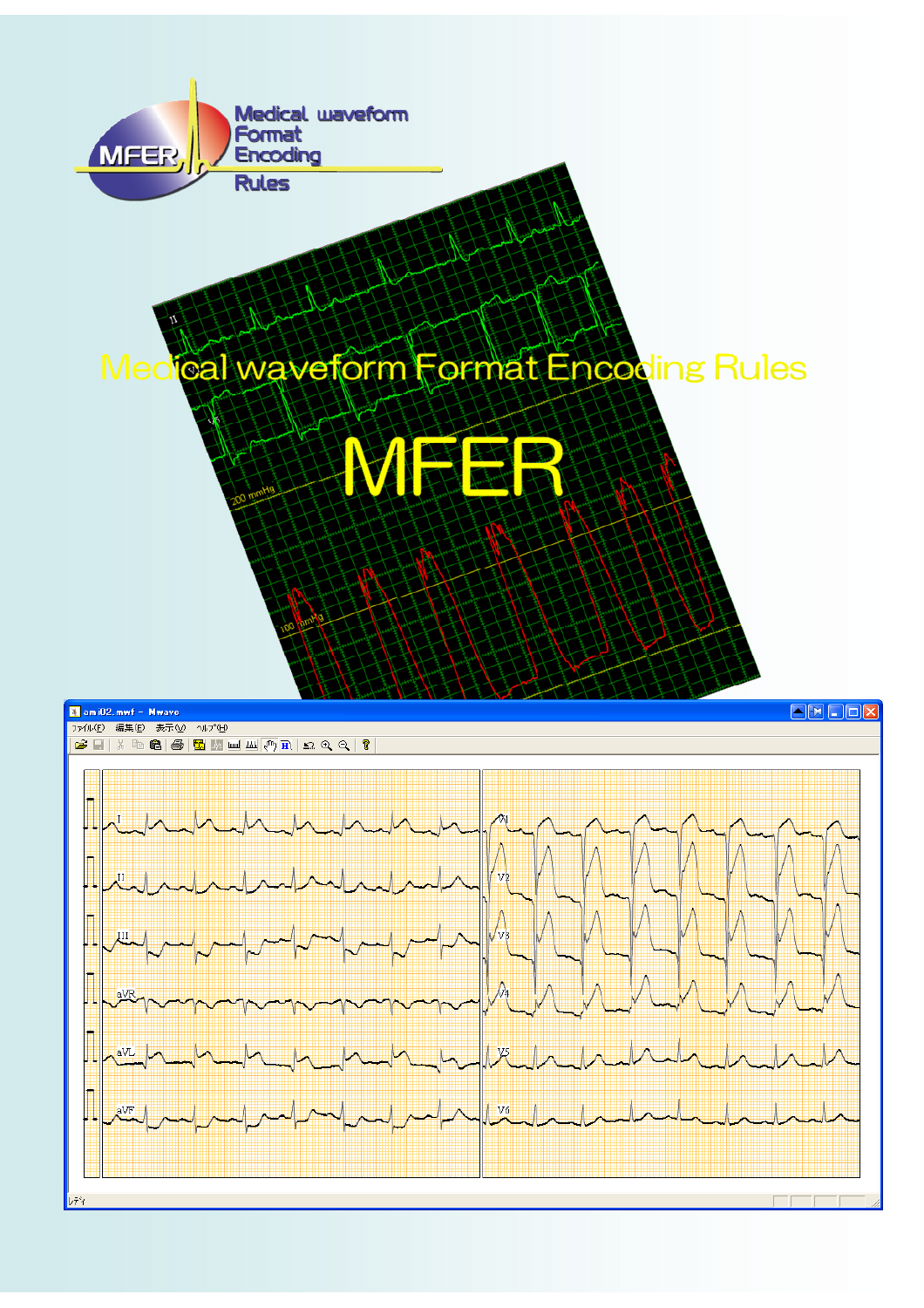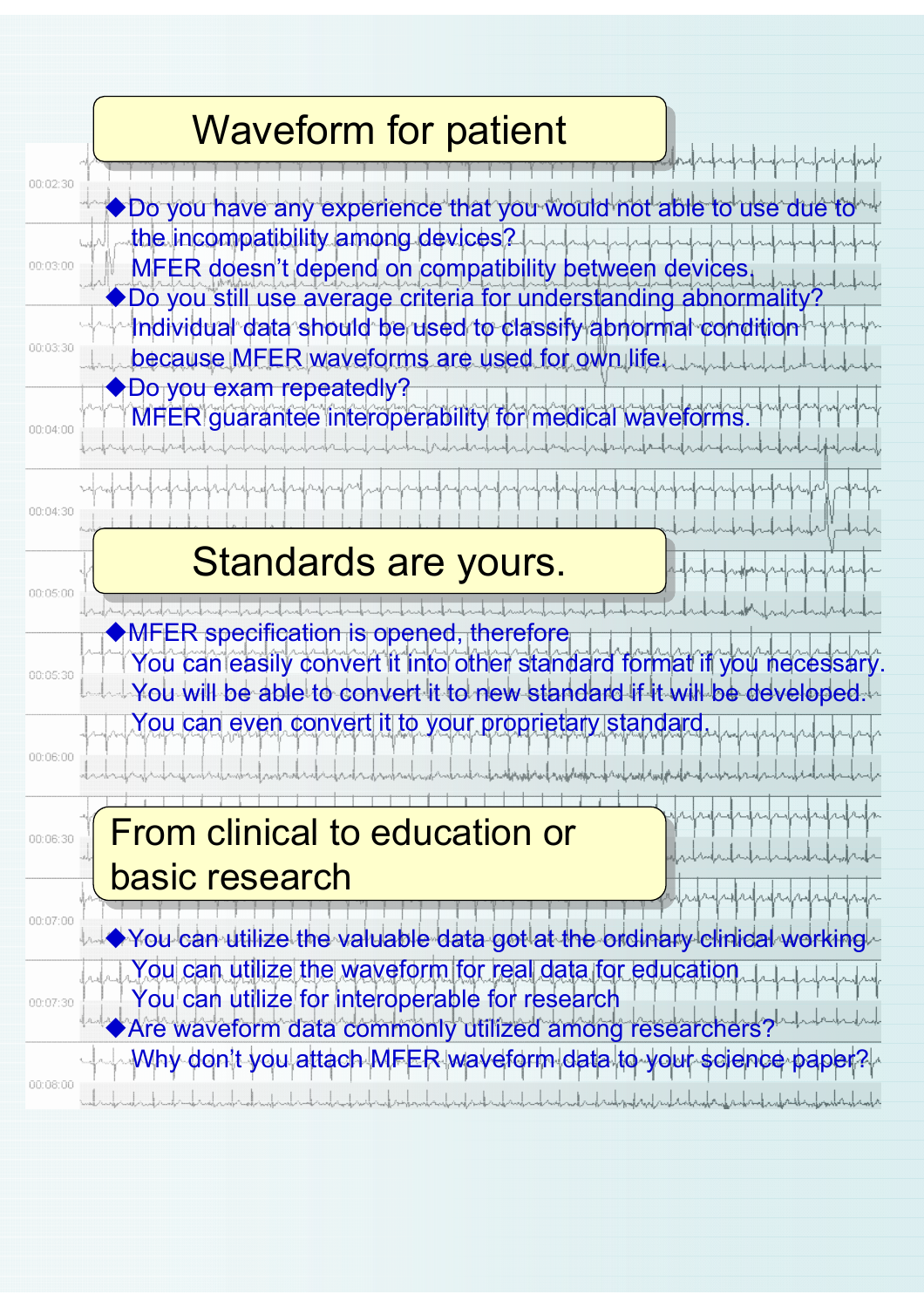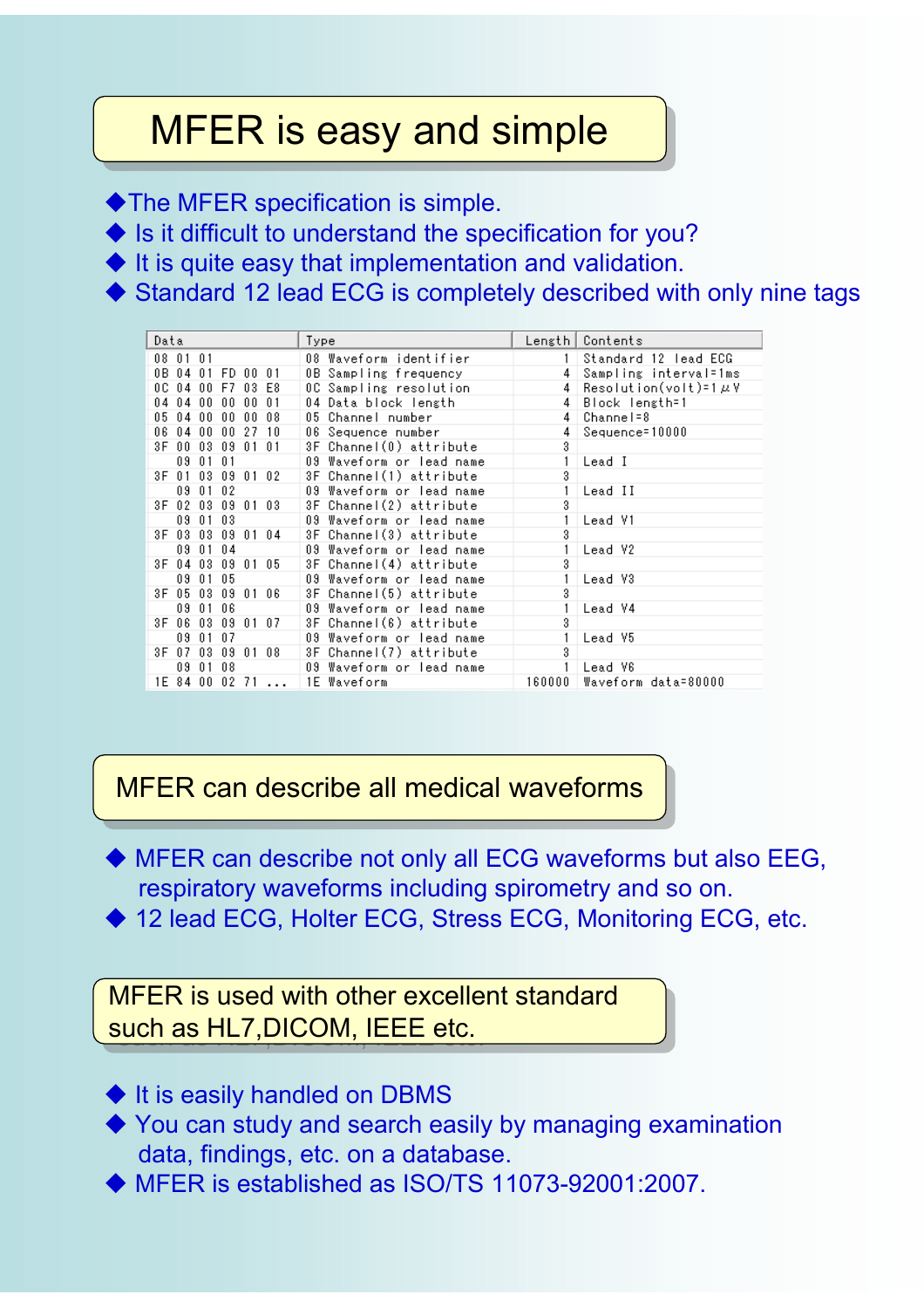## MFER is easy and simple

◆ The MFER specification is simple.

 $\blacklozenge$  Is it difficult to understand the specification for you?

 $\blacklozenge$  It is quite easy that implementation and validation.

◆ Standard 12 lead ECG is completely described with only nine tags

| Data                            | Type                     |                | Length   Contents            |
|---------------------------------|--------------------------|----------------|------------------------------|
| 08 01 01                        | 08 Waveform identifier   |                | 1 Standard 12 Tead ECG       |
| 0B 04 01 FD 00<br>01            | 0B Sampling frequency    | 4              | Sampling interval=1ms        |
| 0C 04 00 F7 03 E8               | OC Sampling resolution   | 4 <sup>1</sup> | $Resolution(volt) = 1 \mu V$ |
| $04$ $04$ $00$ $00$<br>00<br>01 | 04 Data block length     | 4              | Block length=1               |
| $00\quad08$<br>05 04 00 00      | 05 Channel number        | 4              | Channel=8                    |
| 06 04 00 00<br>27 10            | 06 Seguence number       | 4              | Sequence=10000               |
| 3F 00 03 09 01 01               | 3F Channel(0) attribute  | 3              |                              |
| 09 01 01                        | 09 Waveform or lead name |                | Lead I                       |
| 3F 01 03 09 01 02               | 3F Channel(1) attribute  | 3              |                              |
| 09 01 02                        | 09 Waveform or lead name |                | Lead II                      |
| 3F 02 03 09 01 03               | 3F Channel(2) attribute  | 3              |                              |
| 09 01 03                        | 09 Waveform or lead name | 1.             | Lead V1                      |
| 3F 03 03 09 01 04               | 3F Channel(3) attribute  | 3              |                              |
| 09 01 04                        | 09 Waveform or lead name |                | Lead V2                      |
| 3F 04 03 09 01 05               | 3F Channel(4) attribute  | 3              |                              |
| 09 01 05                        | 09 Waveform or lead name |                | Lead V3                      |
| 3F 05 03 09 01 06               | 3F Channel(5) attribute  | 3              |                              |
| 09 01 06                        | 09 Waveform or lead name |                | Lead V4                      |
| 3F 06 03 09 01 07               | 3F Channel(6) attribute  | 3              |                              |
| 09 01 07                        | 09 Waveform or lead name |                | Lead V5                      |
| 3F 07 03 09 01 08               | 3F Channel(7) attribute  | 3              |                              |
| 09 01 08                        | 09 Waveform or lead name | $\mathbf{1}$   | Lead V6                      |
| 1E 84 00 02<br>71               | 1E Waveform              | 160000         | Waveform data=80000          |

MFER can describe all medical waveforms

 MFER can describe not only all ECG waveforms but also EEG, respiratory waveforms including spirometry and so on.

◆ 12 lead ECG, Holter ECG, Stress ECG, Monitoring ECG, etc.

MFER is used with other excellent standard such as HL7,DICOM, IEEE etc.

- $\blacklozenge$  It is easily handled on DBMS
- ◆ You can study and search easily by managing examination data, findings, etc. on a database.
- MFER is established as ISO/TS 11073-92001:2007.